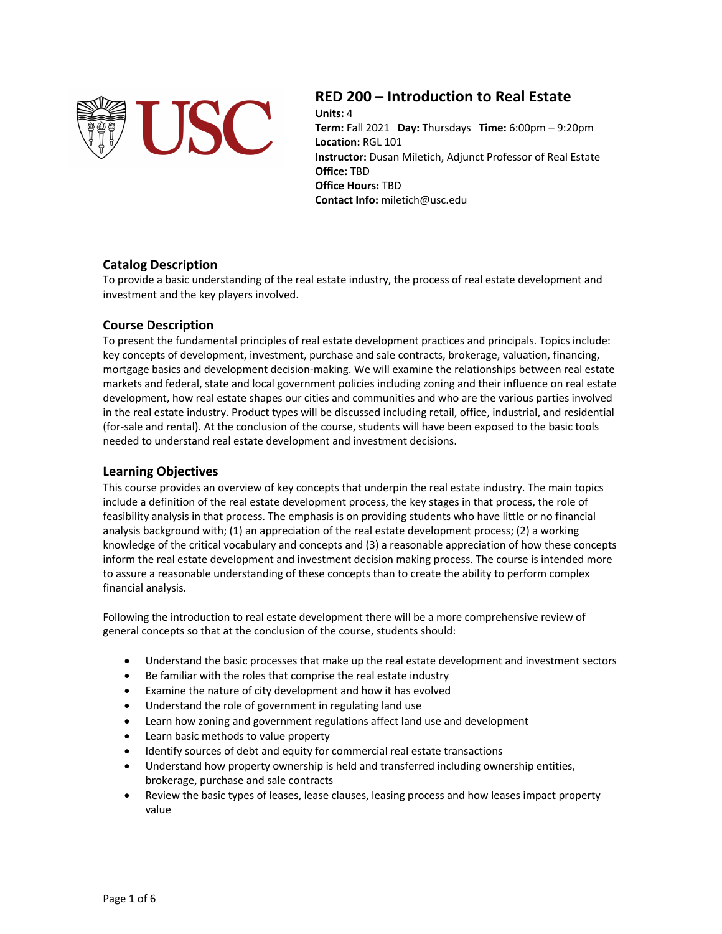

# **RED 200 – Introduction to Real Estate**

**Units:** 4 **Term:** Fall 2021 **Day:** Thursdays **Time:** 6:00pm – 9:20pm **Location:** RGL 101 **Instructor:** Dusan Miletich, Adjunct Professor of Real Estate **Office:** TBD **Office Hours:** TBD **Contact Info:** miletich@usc.edu

# **Catalog Description**

To provide a basic understanding of the real estate industry, the process of real estate development and investment and the key players involved.

# **Course Description**

To present the fundamental principles of real estate development practices and principals. Topics include: key concepts of development, investment, purchase and sale contracts, brokerage, valuation, financing, mortgage basics and development decision-making. We will examine the relationships between real estate markets and federal, state and local government policies including zoning and their influence on real estate development, how real estate shapes our cities and communities and who are the various parties involved in the real estate industry. Product types will be discussed including retail, office, industrial, and residential (for-sale and rental). At the conclusion of the course, students will have been exposed to the basic tools needed to understand real estate development and investment decisions.

# **Learning Objectives**

This course provides an overview of key concepts that underpin the real estate industry. The main topics include a definition of the real estate development process, the key stages in that process, the role of feasibility analysis in that process. The emphasis is on providing students who have little or no financial analysis background with; (1) an appreciation of the real estate development process; (2) a working knowledge of the critical vocabulary and concepts and (3) a reasonable appreciation of how these concepts inform the real estate development and investment decision making process. The course is intended more to assure a reasonable understanding of these concepts than to create the ability to perform complex financial analysis.

Following the introduction to real estate development there will be a more comprehensive review of general concepts so that at the conclusion of the course, students should:

- Understand the basic processes that make up the real estate development and investment sectors
- Be familiar with the roles that comprise the real estate industry
- Examine the nature of city development and how it has evolved
- Understand the role of government in regulating land use
- Learn how zoning and government regulations affect land use and development
- Learn basic methods to value property
- Identify sources of debt and equity for commercial real estate transactions
- Understand how property ownership is held and transferred including ownership entities, brokerage, purchase and sale contracts
- Review the basic types of leases, lease clauses, leasing process and how leases impact property value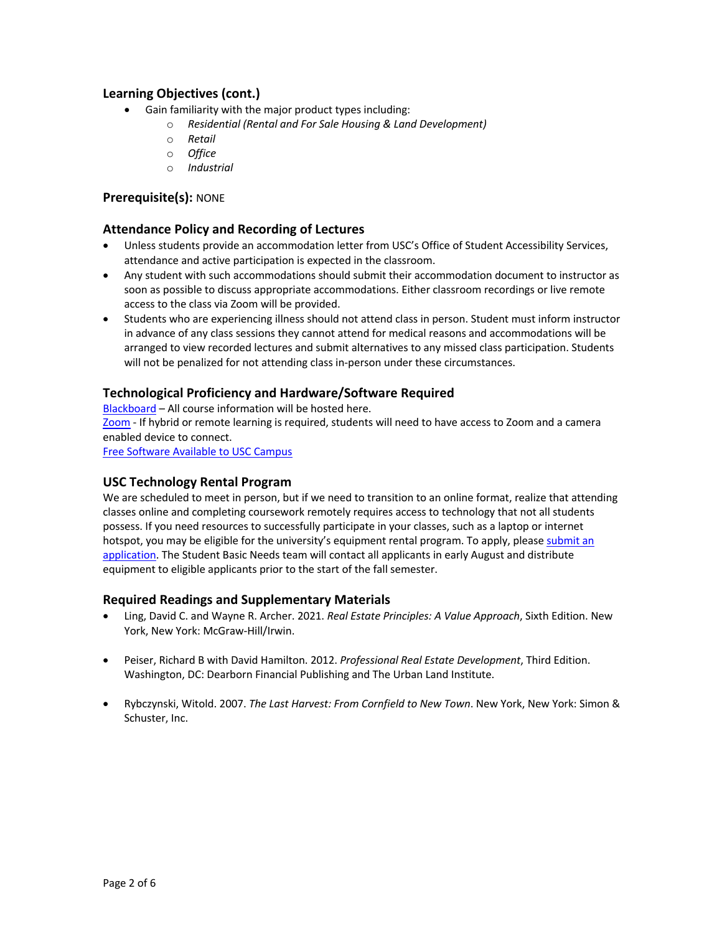# **Learning Objectives (cont.)**

- Gain familiarity with the major product types including:
	- o *Residential (Rental and For Sale Housing & Land Development)*
	- o *Retail*
	- o *Office*
	- o *Industrial*

# **Prerequisite(s):** NONE

### **Attendance Policy and Recording of Lectures**

- Unless students provide an accommodation letter from USC's Office of Student Accessibility Services, attendance and active participation is expected in the classroom.
- Any student with such accommodations should submit their accommodation document to instructor as soon as possible to discuss appropriate accommodations. Either classroom recordings or live remote access to the class via Zoom will be provided.
- Students who are experiencing illness should not attend class in person. Student must inform instructor in advance of any class sessions they cannot attend for medical reasons and accommodations will be arranged to view recorded lectures and submit alternatives to any missed class participation. Students will not be penalized for not attending class in-person under these circumstances.

#### **Technological Proficiency and Hardware/Software Required**

Blackboard – All course information will be hosted here.

Zoom - If hybrid or remote learning is required, students will need to have access to Zoom and a camera enabled device to connect.

Free Software Available to USC Campus

# **USC Technology Rental Program**

We are scheduled to meet in person, but if we need to transition to an online format, realize that attending classes online and completing coursework remotely requires access to technology that not all students possess. If you need resources to successfully participate in your classes, such as a laptop or internet hotspot, you may be eligible for the university's equipment rental program. To apply, please submit an application. The Student Basic Needs team will contact all applicants in early August and distribute equipment to eligible applicants prior to the start of the fall semester.

# **Required Readings and Supplementary Materials**

- Ling, David C. and Wayne R. Archer. 2021. *Real Estate Principles: A Value Approach*, Sixth Edition. New York, New York: McGraw-Hill/Irwin.
- Peiser, Richard B with David Hamilton. 2012. *Professional Real Estate Development*, Third Edition. Washington, DC: Dearborn Financial Publishing and The Urban Land Institute.
- Rybczynski, Witold. 2007. *The Last Harvest: From Cornfield to New Town*. New York, New York: Simon & Schuster, Inc.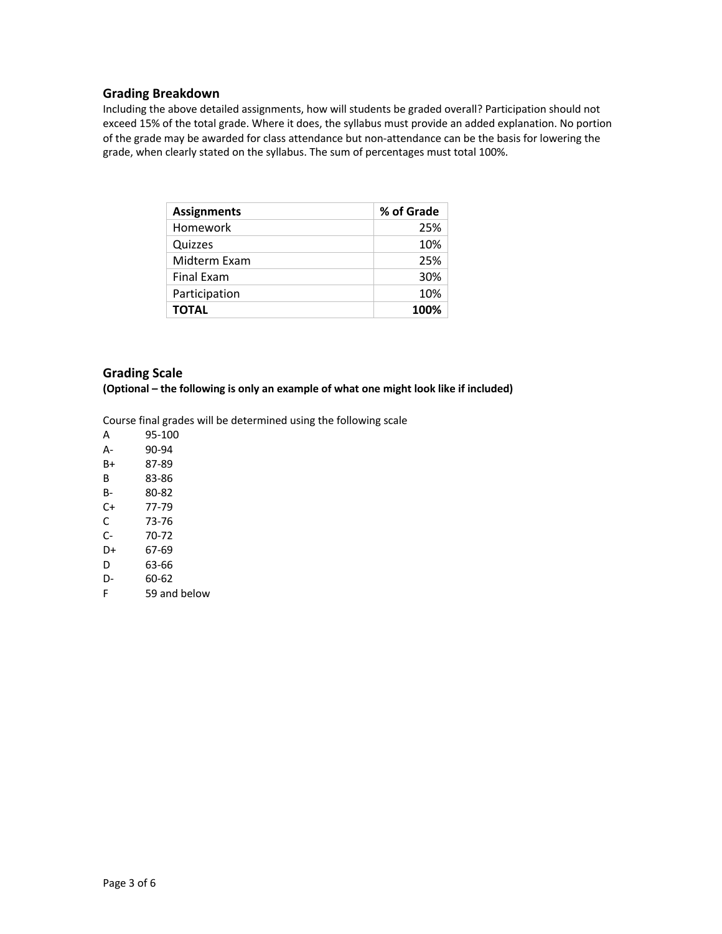#### **Grading Breakdown**

Including the above detailed assignments, how will students be graded overall? Participation should not exceed 15% of the total grade. Where it does, the syllabus must provide an added explanation. No portion of the grade may be awarded for class attendance but non-attendance can be the basis for lowering the grade, when clearly stated on the syllabus. The sum of percentages must total 100%.

| <b>Assignments</b> | % of Grade |
|--------------------|------------|
| Homework           | 25%        |
| Quizzes            | 10%        |
| Midterm Exam       | 25%        |
| <b>Final Exam</b>  | 30%        |
| Participation      | 10%        |
| <b>TOTAL</b>       | 100%       |

# **Grading Scale**

**(Optional – the following is only an example of what one might look like if included)**

Course final grades will be determined using the following scale

- A 95-100 A- 90-94 B+ 87-89 B 83-86
- B- 80-82
- C+ 77-79
- C 73-76
- C- 70-72
- D+ 67-69
- D 63-66
- D- 60-62
- F 59 and below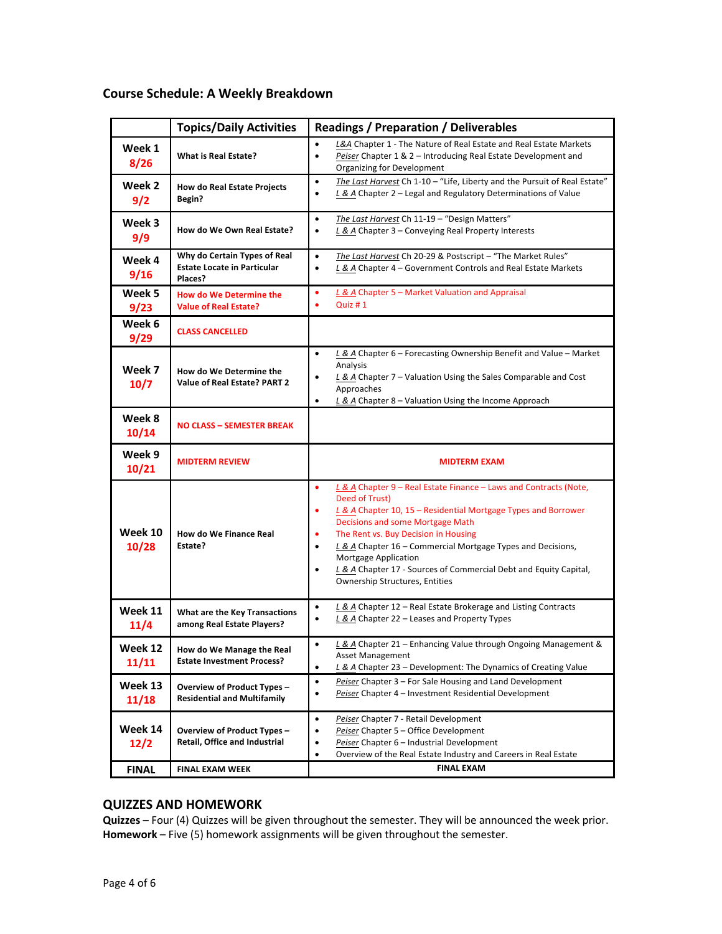# **Course Schedule: A Weekly Breakdown**

|                  | <b>Topics/Daily Activities</b>                                                | <b>Readings / Preparation / Deliverables</b>                                                                                                                                                                                                                                        |  |
|------------------|-------------------------------------------------------------------------------|-------------------------------------------------------------------------------------------------------------------------------------------------------------------------------------------------------------------------------------------------------------------------------------|--|
| Week 1<br>8/26   | <b>What is Real Estate?</b>                                                   | L&A Chapter 1 - The Nature of Real Estate and Real Estate Markets<br>$\bullet$<br>Peiser Chapter 1 & 2 - Introducing Real Estate Development and<br>$\bullet$<br><b>Organizing for Development</b>                                                                                  |  |
| Week 2<br>9/2    | How do Real Estate Projects<br><b>Begin?</b>                                  | The Last Harvest Ch 1-10 - "Life, Liberty and the Pursuit of Real Estate"<br>$\bullet$<br>L & A Chapter 2 - Legal and Regulatory Determinations of Value<br>$\bullet$                                                                                                               |  |
| Week 3<br>9/9    | How do We Own Real Estate?                                                    | The Last Harvest Ch 11-19 - "Design Matters"<br>$\bullet$<br>L & A Chapter 3 - Conveying Real Property Interests<br>$\bullet$                                                                                                                                                       |  |
| Week 4<br>9/16   | Why do Certain Types of Real<br><b>Estate Locate in Particular</b><br>Places? | The Last Harvest Ch 20-29 & Postscript - "The Market Rules"<br>$\bullet$<br>L & A Chapter 4 - Government Controls and Real Estate Markets<br>$\bullet$                                                                                                                              |  |
| Week 5<br>9/23   | How do We Determine the<br><b>Value of Real Estate?</b>                       | L & A Chapter 5 - Market Valuation and Appraisal<br>٠<br>Quiz #1<br>٠                                                                                                                                                                                                               |  |
| Week 6<br>9/29   | <b>CLASS CANCELLED</b>                                                        |                                                                                                                                                                                                                                                                                     |  |
| Week 7<br>10/7   | How do We Determine the<br>Value of Real Estate? PART 2                       | L & A Chapter 6 - Forecasting Ownership Benefit and Value - Market<br>$\bullet$<br>Analysis<br>$L$ & A Chapter 7 – Valuation Using the Sales Comparable and Cost<br>٠<br>Approaches<br>L & A Chapter 8 - Valuation Using the Income Approach<br>٠                                   |  |
| Week 8<br>10/14  | NO CLASS - SEMESTER BREAK                                                     |                                                                                                                                                                                                                                                                                     |  |
| Week 9<br>10/21  | <b>MIDTERM REVIEW</b>                                                         | <b>MIDTERM EXAM</b>                                                                                                                                                                                                                                                                 |  |
|                  |                                                                               | L & A Chapter 9 - Real Estate Finance - Laws and Contracts (Note,<br>٠<br>Deed of Trust)<br>L & A Chapter 10, 15 – Residential Mortgage Types and Borrower<br>٠                                                                                                                     |  |
| Week 10<br>10/28 | How do We Finance Real<br>Estate?                                             | Decisions and some Mortgage Math<br>The Rent vs. Buy Decision in Housing<br>L & A Chapter 16 - Commercial Mortgage Types and Decisions,<br>$\bullet$<br>Mortgage Application<br>L & A Chapter 17 - Sources of Commercial Debt and Equity Capital,<br>Ownership Structures, Entities |  |
| Week 11<br>11/4  | What are the Key Transactions<br>among Real Estate Players?                   | L & A Chapter 12 - Real Estate Brokerage and Listing Contracts<br>$\bullet$<br>L & A Chapter 22 - Leases and Property Types                                                                                                                                                         |  |
| Week 12<br>11/11 | How do We Manage the Real<br><b>Estate Investment Process?</b>                | L & A Chapter 21 - Enhancing Value through Ongoing Management &<br>٠<br><b>Asset Management</b><br>L & A Chapter 23 - Development: The Dynamics of Creating Value<br>٠                                                                                                              |  |
| Week 13<br>11/18 | Overview of Product Types -<br><b>Residential and Multifamily</b>             | $\bullet$<br>Peiser Chapter 3 - For Sale Housing and Land Development<br>Peiser Chapter 4 - Investment Residential Development<br>$\bullet$                                                                                                                                         |  |
| Week 14<br>12/2  | Overview of Product Types -<br>Retail, Office and Industrial                  | Peiser Chapter 7 - Retail Development<br>$\bullet$<br>Peiser Chapter 5 - Office Development<br>$\bullet$<br>Peiser Chapter 6 - Industrial Development<br>$\bullet$<br>Overview of the Real Estate Industry and Careers in Real Estate<br>$\bullet$<br><b>FINAL EXAM</b>             |  |

# **QUIZZES AND HOMEWORK**

**Quizzes** – Four (4) Quizzes will be given throughout the semester. They will be announced the week prior. **Homework** – Five (5) homework assignments will be given throughout the semester.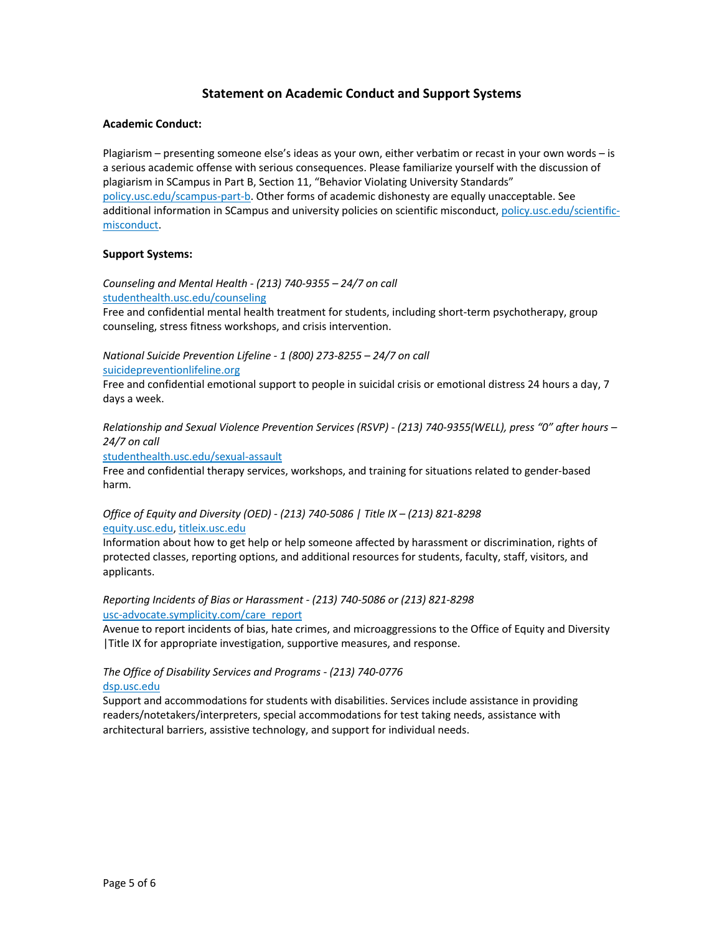# **Statement on Academic Conduct and Support Systems**

#### **Academic Conduct:**

Plagiarism – presenting someone else's ideas as your own, either verbatim or recast in your own words – is a serious academic offense with serious consequences. Please familiarize yourself with the discussion of plagiarism in SCampus in Part B, Section 11, "Behavior Violating University Standards" policy.usc.edu/scampus-part-b. Other forms of academic dishonesty are equally unacceptable. See additional information in SCampus and university policies on scientific misconduct, policy.usc.edu/scientificmisconduct.

#### **Support Systems:**

*Counseling and Mental Health - (213) 740-9355 – 24/7 on call* studenthealth.usc.edu/counseling

Free and confidential mental health treatment for students, including short-term psychotherapy, group counseling, stress fitness workshops, and crisis intervention.

*National Suicide Prevention Lifeline - 1 (800) 273-8255 – 24/7 on call*

suicidepreventionlifeline.org

Free and confidential emotional support to people in suicidal crisis or emotional distress 24 hours a day, 7 days a week.

*Relationship and Sexual Violence Prevention Services (RSVP) - (213) 740-9355(WELL), press "0" after hours – 24/7 on call*

studenthealth.usc.edu/sexual-assault

Free and confidential therapy services, workshops, and training for situations related to gender-based harm.

#### *Office of Equity and Diversity (OED) - (213) 740-5086 | Title IX – (213) 821-8298* equity.usc.edu, titleix.usc.edu

Information about how to get help or help someone affected by harassment or discrimination, rights of protected classes, reporting options, and additional resources for students, faculty, staff, visitors, and applicants.

#### *Reporting Incidents of Bias or Harassment - (213) 740-5086 or (213) 821-8298* usc-advocate.symplicity.com/care\_report

Avenue to report incidents of bias, hate crimes, and microaggressions to the Office of Equity and Diversity |Title IX for appropriate investigation, supportive measures, and response.

#### *The Office of Disability Services and Programs - (213) 740-0776* dsp.usc.edu

Support and accommodations for students with disabilities. Services include assistance in providing readers/notetakers/interpreters, special accommodations for test taking needs, assistance with architectural barriers, assistive technology, and support for individual needs.